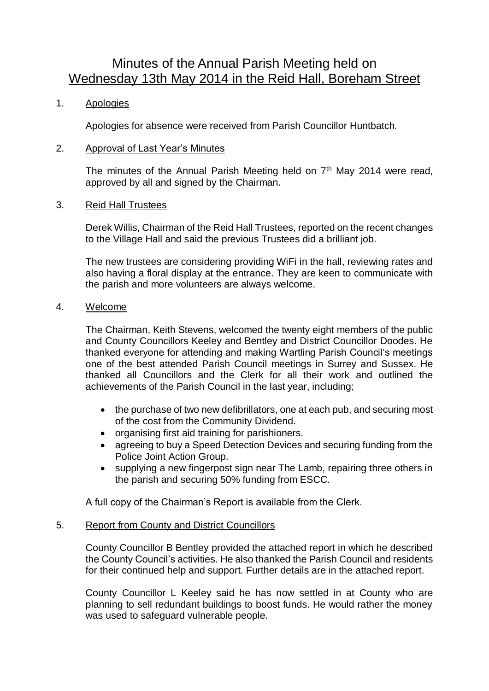# Minutes of the Annual Parish Meeting held on Wednesday 13th May 2014 in the Reid Hall, Boreham Street

# 1. Apologies

Apologies for absence were received from Parish Councillor Huntbatch.

## 2. Approval of Last Year's Minutes

The minutes of the Annual Parish Meeting held on  $7<sup>th</sup>$  May 2014 were read, approved by all and signed by the Chairman.

## 3. Reid Hall Trustees

Derek Willis, Chairman of the Reid Hall Trustees, reported on the recent changes to the Village Hall and said the previous Trustees did a brilliant job.

The new trustees are considering providing WiFi in the hall, reviewing rates and also having a floral display at the entrance. They are keen to communicate with the parish and more volunteers are always welcome.

## 4. Welcome

The Chairman, Keith Stevens, welcomed the twenty eight members of the public and County Councillors Keeley and Bentley and District Councillor Doodes. He thanked everyone for attending and making Wartling Parish Council's meetings one of the best attended Parish Council meetings in Surrey and Sussex. He thanked all Councillors and the Clerk for all their work and outlined the achievements of the Parish Council in the last year, including;

- the purchase of two new defibrillators, one at each pub, and securing most of the cost from the Community Dividend.
- organising first aid training for parishioners.
- agreeing to buy a Speed Detection Devices and securing funding from the Police Joint Action Group.
- supplying a new fingerpost sign near The Lamb, repairing three others in the parish and securing 50% funding from ESCC.

A full copy of the Chairman's Report is available from the Clerk.

## 5. Report from County and District Councillors

County Councillor B Bentley provided the attached report in which he described the County Council's activities. He also thanked the Parish Council and residents for their continued help and support. Further details are in the attached report.

County Councillor L Keeley said he has now settled in at County who are planning to sell redundant buildings to boost funds. He would rather the money was used to safeguard vulnerable people.